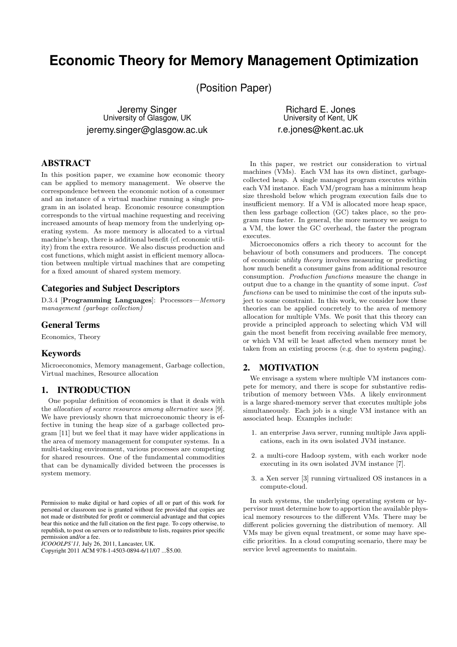# **Economic Theory for Memory Management Optimization**

(Position Paper)

Jeremy Singer University of Glasgow, UK jeremy.singer@glasgow.ac.uk

# ABSTRACT

In this position paper, we examine how economic theory can be applied to memory management. We observe the correspondence between the economic notion of a consumer and an instance of a virtual machine running a single program in an isolated heap. Economic resource consumption corresponds to the virtual machine requesting and receiving increased amounts of heap memory from the underlying operating system. As more memory is allocated to a virtual machine's heap, there is additional benefit (cf. economic utility) from the extra resource. We also discuss production and cost functions, which might assist in efficient memory allocation between multiple virtual machines that are competing for a fixed amount of shared system memory.

## Categories and Subject Descriptors

D.3.4 [Programming Languages]: Processors—Memory management (garbage collection)

## General Terms

Economics, Theory

#### Keywords

Microeconomics, Memory management, Garbage collection, Virtual machines, Resource allocation

## 1. INTRODUCTION

One popular definition of economics is that it deals with the allocation of scarce resources among alternative uses [9]. We have previously shown that microeconomic theory is effective in tuning the heap size of a garbage collected program [11] but we feel that it may have wider applications in the area of memory management for computer systems. In a multi-tasking environment, various processes are competing for shared resources. One of the fundamental commodities that can be dynamically divided between the processes is system memory.

Permission to make digital or hard copies of all or part of this work for personal or classroom use is granted without fee provided that copies are not made or distributed for profit or commercial advantage and that copies bear this notice and the full citation on the first page. To copy otherwise, to republish, to post on servers or to redistribute to lists, requires prior specific permission and/or a fee.

*ICOOOLPS'11,* July 26, 2011, Lancaster, UK.

Copyright 2011 ACM 978-1-4503-0894-6/11/07 ...\$5.00.

Richard E. Jones University of Kent, UK r.e.jones@kent.ac.uk

In this paper, we restrict our consideration to virtual machines (VMs). Each VM has its own distinct, garbagecollected heap. A single managed program executes within each VM instance. Each VM/program has a minimum heap size threshold below which program execution fails due to insufficient memory. If a VM is allocated more heap space, then less garbage collection (GC) takes place, so the program runs faster. In general, the more memory we assign to a VM, the lower the GC overhead, the faster the program executes.

Microeconomics offers a rich theory to account for the behaviour of both consumers and producers. The concept of economic utility theory involves measuring or predicting how much benefit a consumer gains from additional resource consumption. Production functions measure the change in output due to a change in the quantity of some input. Cost functions can be used to minimise the cost of the inputs subject to some constraint. In this work, we consider how these theories can be applied concretely to the area of memory allocation for multiple VMs. We posit that this theory can provide a principled approach to selecting which VM will gain the most benefit from receiving available free memory, or which VM will be least affected when memory must be taken from an existing process (e.g. due to system paging).

## 2. MOTIVATION

We envisage a system where multiple VM instances compete for memory, and there is scope for substantive redistribution of memory between VMs. A likely environment is a large shared-memory server that executes multiple jobs simultaneously. Each job is a single VM instance with an associated heap. Examples include:

- 1. an enterprise Java server, running multiple Java applications, each in its own isolated JVM instance.
- 2. a multi-core Hadoop system, with each worker node executing in its own isolated JVM instance [7].
- 3. a Xen server [3] running virtualized OS instances in a compute-cloud.

In such systems, the underlying operating system or hypervisor must determine how to apportion the available physical memory resources to the different VMs. There may be different policies governing the distribution of memory. All VMs may be given equal treatment, or some may have specific priorities. In a cloud computing scenario, there may be service level agreements to maintain.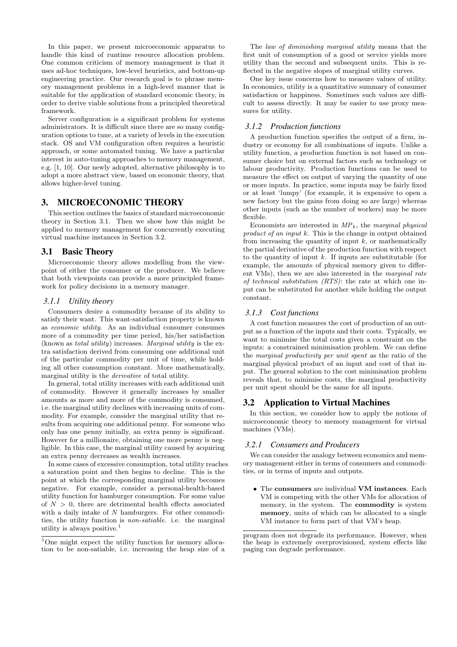In this paper, we present microeconomic apparatus to handle this kind of runtime resource allocation problem. One common criticism of memory management is that it uses ad-hoc techniques, low-level heuristics, and bottom-up engineering practice. Our research goal is to phrase memory management problems in a high-level manner that is suitable for the application of standard economic theory, in order to derive viable solutions from a principled theoretical framework.

Server configuration is a significant problem for systems administrators. It is difficult since there are so many configuration options to tune, at a variety of levels in the execution stack. OS and VM configuration often requires a heuristic approach, or some automated tuning. We have a particular interest in auto-tuning approaches to memory management, e.g. [1, 10]. Our newly adopted, alternative philosophy is to adopt a more abstract view, based on economic theory, that allows higher-level tuning.

## 3. MICROECONOMIC THEORY

This section outlines the basics of standard microeconomic theory in Section 3.1. Then we show how this might be applied to memory management for concurrently executing virtual machine instances in Section 3.2.

#### 3.1 Basic Theory

Microeconomic theory allows modelling from the viewpoint of either the consumer or the producer. We believe that both viewpoints can provide a more principled framework for policy decisions in a memory manager.

#### *3.1.1 Utility theory*

Consumers desire a commodity because of its ability to satisfy their want. This want-satisfaction property is known as economic utility. As an individual consumer consumes more of a commodity per time period, his/her satisfaction (known as total utility) increases. Marginal utility is the extra satisfaction derived from consuming one additional unit of the particular commodity per unit of time, while holding all other consumption constant. More mathematically, marginal utility is the derivative of total utility.

In general, total utility increases with each additional unit of commodity. However it generally increases by smaller amounts as more and more of the commodity is consumed, i.e. the marginal utility declines with increasing units of commodity. For example, consider the marginal utility that results from acquiring one additional penny. For someone who only has one penny initially, an extra penny is significant. However for a millionaire, obtaining one more penny is negligible. In this case, the marginal utility caused by acquiring an extra penny decreases as wealth increases.

In some cases of excessive consumption, total utility reaches a saturation point and then begins to decline. This is the point at which the corresponding marginal utility becomes negative. For example, consider a personal-health-based utility function for hamburger consumption. For some value of  $N > 0$ , there are detrimental health effects associated with a daily intake of N hamburgers. For other commodities, the utility function is non-satiable. i.e. the marginal utility is always positive.<sup>1</sup>

The law of diminishing marginal utility means that the first unit of consumption of a good or service yields more utility than the second and subsequent units. This is reflected in the negative slopes of marginal utility curves.

One key issue concerns how to measure values of utility. In economics, utility is a quantitative summary of consumer satisfaction or happiness. Sometimes such values are difficult to assess directly. It may be easier to use proxy measures for utility.

#### *3.1.2 Production functions*

A production function specifies the output of a firm, industry or economy for all combinations of inputs. Unlike a utility function, a production function is not based on consumer choice but on external factors such as technology or labour productivity. Production functions can be used to measure the effect on output of varying the quantity of one or more inputs. In practice, some inputs may be fairly fixed or at least 'lumpy' (for example, it is expensive to open a new factory but the gains from doing so are large) whereas other inputs (such as the number of workers) may be more flexible.

Economists are interested in  $MP_k$ , the marginal physical product of an input  $k$ . This is the change in output obtained from increasing the quantity of input  $k$ , or mathematically the partial derivative of the production function with respect to the quantity of input  $k$ . If inputs are substitutable (for example, the amounts of physical memory given to different VMs), then we are also interested in the marginal rate of technical substitution (RTS): the rate at which one input can be substituted for another while holding the output constant.

#### *3.1.3 Cost functions*

A cost function measures the cost of production of an output as a function of the inputs and their costs. Typically, we want to minimise the total costs given a constraint on the inputs: a constrained minimisation problem. We can define the marginal productivity per unit spent as the ratio of the marginal physical product of an input and cost of that input. The general solution to the cost minimisation problem reveals that, to minimise costs, the marginal productivity per unit spent should be the same for all inputs.

#### 3.2 Application to Virtual Machines

In this section, we consider how to apply the notions of microeconomic theory to memory management for virtual machines (VMs).

#### *3.2.1 Consumers and Producers*

We can consider the analogy between economics and memory management either in terms of consumers and commodities, or in terms of inputs and outputs.

• The consumers are individual VM instances. Each VM is competing with the other VMs for allocation of memory, in the system. The commodity is system memory, units of which can be allocated to a single VM instance to form part of that VM's heap.

<sup>1</sup>One might expect the utility function for memory allocation to be non-satiable, i.e. increasing the heap size of a

program does not degrade its performance. However, when the heap is extremely overprovisioned, system effects like paging can degrade performance.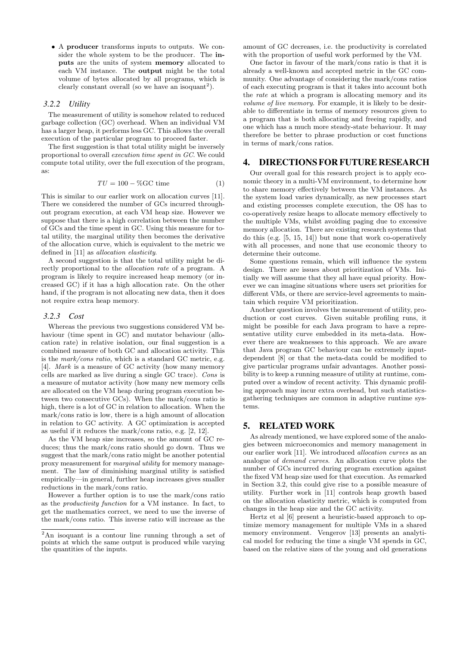• A producer transforms inputs to outputs. We consider the whole system to be the producer. The inputs are the units of system memory allocated to each VM instance. The output might be the total volume of bytes allocated by all programs, which is clearly constant overall (so we have an isoquant<sup>2</sup>).

#### *3.2.2 Utility*

The measurement of utility is somehow related to reduced garbage collection (GC) overhead. When an individual VM has a larger heap, it performs less GC. This allows the overall execution of the particular program to proceed faster.

The first suggestion is that total utility might be inversely proportional to overall execution time spent in GC. We could compute total utility, over the full execution of the program, as:

$$
TU = 100 - \% \text{GC time} \tag{1}
$$

This is similar to our earlier work on allocation curves [11]. There we considered the number of GCs incurred throughout program execution, at each VM heap size. However we suppose that there is a high correlation between the number of GCs and the time spent in GC. Using this measure for total utility, the marginal utility then becomes the derivative of the allocation curve, which is equivalent to the metric we defined in [11] as allocation elasticity.

A second suggestion is that the total utility might be directly proportional to the allocation rate of a program. A program is likely to require increased heap memory (or increased GC) if it has a high allocation rate. On the other hand, if the program is not allocating new data, then it does not require extra heap memory.

#### *3.2.3 Cost*

Whereas the previous two suggestions considered VM behaviour (time spent in GC) and mutator behaviour (allocation rate) in relative isolation, our final suggestion is a combined measure of both GC and allocation activity. This is the mark/cons ratio, which is a standard GC metric, e.g. [4]. Mark is a measure of GC activity (how many memory cells are marked as live during a single GC trace). Cons is a measure of mutator activity (how many new memory cells are allocated on the VM heap during program execution between two consecutive GCs). When the mark/cons ratio is high, there is a lot of GC in relation to allocation. When the mark/cons ratio is low, there is a high amount of allocation in relation to GC activity. A GC optimization is accepted as useful if it reduces the mark/cons ratio, e.g. [2, 12].

As the VM heap size increases, so the amount of GC reduces; thus the mark/cons ratio should go down. Thus we suggest that the mark/cons ratio might be another potential proxy measurement for marginal utility for memory management. The law of diminishing marginal utility is satisfied empirically—in general, further heap increases gives smaller reductions in the mark/cons ratio.

However a further option is to use the mark/cons ratio as the productivity function for a VM instance. In fact, to get the mathematics correct, we need to use the inverse of the mark/cons ratio. This inverse ratio will increase as the amount of GC decreases, i.e. the productivity is correlated with the proportion of useful work performed by the VM.

One factor in favour of the mark/cons ratio is that it is already a well-known and accepted metric in the GC community. One advantage of considering the mark/cons ratios of each executing program is that it takes into account both the rate at which a program is allocating memory and its volume of live memory. For example, it is likely to be desirable to differentiate in terms of memory resources given to a program that is both allocating and freeing rapidly, and one which has a much more steady-state behaviour. It may therefore be better to phrase production or cost functions in terms of mark/cons ratios.

### 4. DIRECTIONS FOR FUTURE RESEARCH

Our overall goal for this research project is to apply economic theory in a multi-VM environment, to determine how to share memory effectively between the VM instances. As the system load varies dynamically, as new processes start and existing processes complete execution, the OS has to co-operatively resize heaps to allocate memory effectively to the multiple VMs, whilst avoiding paging due to excessive memory allocation. There are existing research systems that do this (e.g. [5, 15, 14]) but none that work co-operatively with all processes, and none that use economic theory to determine their outcome.

Some questions remain, which will influence the system design. There are issues about prioritization of VMs. Initially we will assume that they all have equal priority. However we can imagine situations where users set priorities for different VMs, or there are service-level agreements to maintain which require VM prioritization.

Another question involves the measurement of utility, production or cost curves. Given suitable profiling runs, it might be possible for each Java program to have a representative utility curve embedded in its meta-data. However there are weaknesses to this approach. We are aware that Java program GC behaviour can be extremely inputdependent [8] or that the meta-data could be modified to give particular programs unfair advantages. Another possibility is to keep a running measure of utility at runtime, computed over a window of recent activity. This dynamic profiling approach may incur extra overhead, but such statisticsgathering techniques are common in adaptive runtime systems.

# 5. RELATED WORK

As already mentioned, we have explored some of the analogies between microeconomics and memory management in our earlier work [11]. We introduced allocation curves as an analogue of demand curves. An allocation curve plots the number of GCs incurred during program execution against the fixed VM heap size used for that execution. As remarked in Section 3.2, this could give rise to a possible measure of utility. Further work in [11] controls heap growth based on the allocation elasticity metric, which is computed from changes in the heap size and the GC activity.

Hertz et al [6] present a heuristic-based approach to optimize memory management for multiple VMs in a shared memory environment. Vengerov [13] presents an analytical model for reducing the time a single VM spends in GC, based on the relative sizes of the young and old generations

<sup>2</sup>An isoquant is a contour line running through a set of points at which the same output is produced while varying the quantities of the inputs.